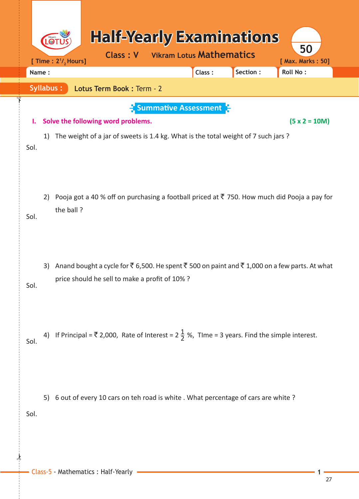|                  | LO | [ Time : $2^{1/2}$ Hours]                      |                           | <b>Class: V</b> |  | <b>Vikram Lotus Mathematics</b>                  | <b>Half-Yearly Examinations</b>                                                    | 50<br>[ Max. Marks: 50]                                                                                   |  |
|------------------|----|------------------------------------------------|---------------------------|-----------------|--|--------------------------------------------------|------------------------------------------------------------------------------------|-----------------------------------------------------------------------------------------------------------|--|
| Name:            |    |                                                |                           |                 |  | Class:                                           | Section:                                                                           | <b>Roll No:</b>                                                                                           |  |
| <b>Syllabus:</b> |    |                                                | Lotus Term Book: Term - 2 |                 |  |                                                  |                                                                                    |                                                                                                           |  |
| ı.<br>Sol.       | 1) | Solve the following word problems.             |                           |                 |  | $\frac{1}{2}$ Summative Assessment $\frac{1}{2}$ | The weight of a jar of sweets is 1.4 kg. What is the total weight of 7 such jars ? | $(5 x 2 = 10M)$                                                                                           |  |
| Sol.             | 2) | the ball?                                      |                           |                 |  |                                                  |                                                                                    | Pooja got a 40 % off on purchasing a football priced at ₹ 750. How much did Pooja a pay for               |  |
| Sol.             | 3) | price should he sell to make a profit of 10% ? |                           |                 |  |                                                  |                                                                                    | Anand bought a cycle for ₹ 6,500. He spent ₹ 500 on paint and ₹ 1,000 on a few parts. At what             |  |
| Sol.             |    |                                                |                           |                 |  |                                                  |                                                                                    | 4) If Principal = ₹ 2,000, Rate of Interest = $2\frac{1}{2}$ %, Tlme = 3 years. Find the simple interest. |  |
| Sol.             | 5) |                                                |                           |                 |  |                                                  | 6 out of every 10 cars on teh road is white . What percentage of cars are white ?  |                                                                                                           |  |

 $\frac{1}{2}$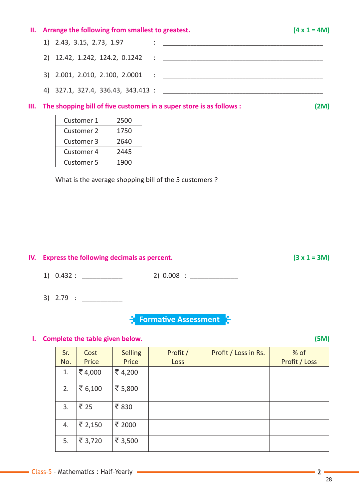# II. Arrange the following from smallest to greatest.  $\label{eq:3.1} \frac{1}{2} \left( \frac{1}{2} \sum_{i=1}^n \frac{1}{2} \sum_{j=1}^n \frac{1}{2} \sum_{j=1}^n \frac{1}{2} \sum_{j=1}^n \frac{1}{2} \sum_{j=1}^n \frac{1}{2} \sum_{j=1}^n \frac{1}{2} \sum_{j=1}^n \frac{1}{2} \sum_{j=1}^n \frac{1}{2} \sum_{j=1}^n \frac{1}{2} \sum_{j=1}^n \frac{1}{2} \sum_{j=1}^n \frac{1}{2} \sum_{j=1}^n \frac{1}{2} \sum$ 1) 2.43, 3.15, 2.73, 1.97

#### III. The shopping bill of five customers in a super store is as follows :

| Customer 1        | 2500 |
|-------------------|------|
| <b>Customer 2</b> | 1750 |
| <b>Customer 3</b> | 2640 |
| <b>Customer 4</b> | 2445 |
| Customer 5        | 1900 |

What is the average shopping bill of the 5 customers ?

## IV. Express the following decimals as percent.

 $1) 0.432:$  $2) 0.008$  :

 $3) 2.79 :$ 

**Formative Assessment** 

### I. Complete the table given below.

| Sr. | Cost              | <b>Selling</b> | Profit / | Profit / Loss in Rs. | $%$ of        |
|-----|-------------------|----------------|----------|----------------------|---------------|
| No. | Price             | Price          | Loss     |                      | Profit / Loss |
| 1.  | ₹4,000            | ₹4,200         |          |                      |               |
| 2.  | ₹ $6,100$         | ₹ 5,800        |          |                      |               |
| 3.  | $\overline{5}$ 25 | ₹830           |          |                      |               |
| 4.  | ₹ 2,150           | ₹ 2000         |          |                      |               |
| 5.  | ₹ 3,720           | ₹ 3,500        |          |                      |               |

 $(3 x 1 = 3M)$ 

 $(5M)$ 

 $(4 \times 1 = 4M)$ 

 $(2M)$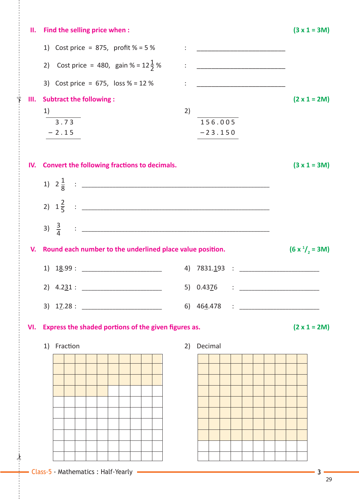| н.  | Find the selling price when:                              |                                        | $(3 x 1 = 3M)$      |
|-----|-----------------------------------------------------------|----------------------------------------|---------------------|
|     | 1) Cost price = 875, profit $% = 5%$                      | <u>: _____________________________</u> |                     |
|     | Cost price = 480, gain % = $12\frac{1}{2}$ %<br>2)        |                                        |                     |
|     | 3) Cost price = $675$ , loss % = 12 %                     |                                        |                     |
| Ш.  | <b>Subtract the following:</b>                            |                                        | $(2 \times 1 = 2M)$ |
|     | 1)                                                        | 2)                                     |                     |
|     | $\frac{1}{3.73}$                                          | 156.005                                |                     |
|     | $-2.15$                                                   | $-23.150$                              |                     |
|     |                                                           |                                        |                     |
| IV. | Convert the following fractions to decimals.              |                                        | $(3 x 1 = 3M)$      |
|     |                                                           |                                        |                     |
|     |                                                           |                                        |                     |
|     |                                                           |                                        |                     |
| V.  | Round each number to the underlined place value position. |                                        | $(6 x1/2 = 3M)$     |
|     | $1)$ $18.99:$ ________________________                    |                                        |                     |
|     | 2) $4.231:$                                               |                                        |                     |
|     |                                                           |                                        |                     |
| VI. | Express the shaded portions of the given figures as.      |                                        | $(2 \times 1 = 2M)$ |
|     | 1) Fraction                                               | Decimal<br>2)                          |                     |
|     |                                                           |                                        |                     |
|     |                                                           |                                        |                     |
|     |                                                           |                                        |                     |
|     |                                                           |                                        |                     |
|     |                                                           |                                        |                     |
|     |                                                           |                                        |                     |
|     |                                                           |                                        |                     |
|     |                                                           |                                        |                     |
|     |                                                           |                                        |                     |
|     |                                                           |                                        |                     |
|     |                                                           |                                        |                     |

 $\frac{1}{2}$ 

✁